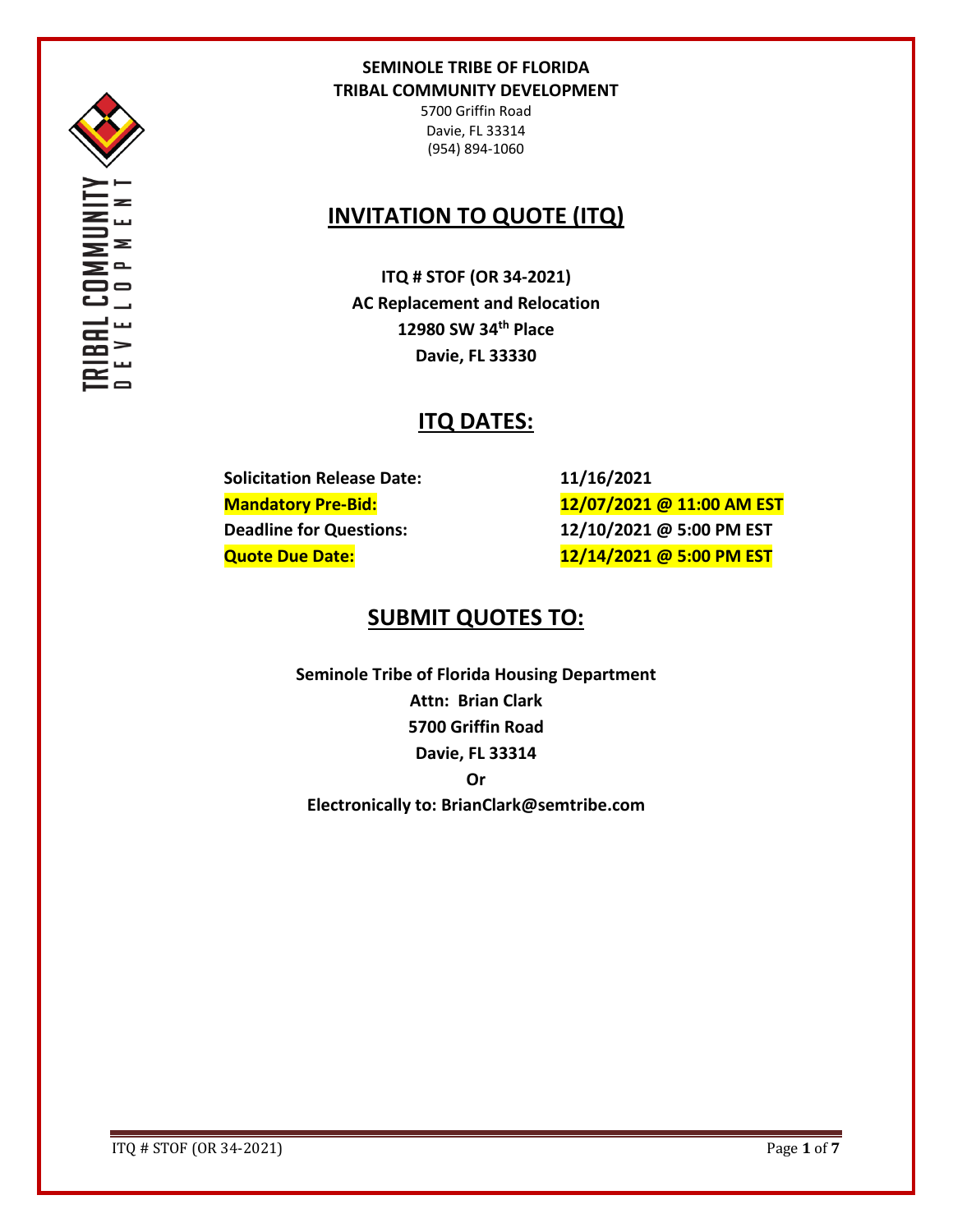

OMMI<br>0 P M

 $\mathbf{Z}$   $\mathbf{Z}$ 

## **SEMINOLE TRIBE OF FLORIDA TRIBAL COMMUNITY DEVELOPMENT**

5700 Griffin Road Davie, FL 33314 (954) 894-1060

# **INVITATION TO QUOTE (ITQ)**

**ITQ # STOF (OR 34-2021) AC Replacement and Relocation 12980 SW 34th Place Davie, FL 33330**

# **ITQ DATES:**

**Solicitation Release Date: 11/16/2021**

**Mandatory Pre-Bid: 12/07/2021 @ 11:00 AM EST Deadline for Questions: 12/10/2021 @ 5:00 PM EST Quote Due Date: 12/14/2021 @ 5:00 PM EST**

## **SUBMIT QUOTES TO:**

**Seminole Tribe of Florida Housing Department Attn: Brian Clark 5700 Griffin Road Davie, FL 33314 Or Electronically to: BrianClark@semtribe.com** 

ITQ # STOF (OR 34-2021) Page **1** of **7**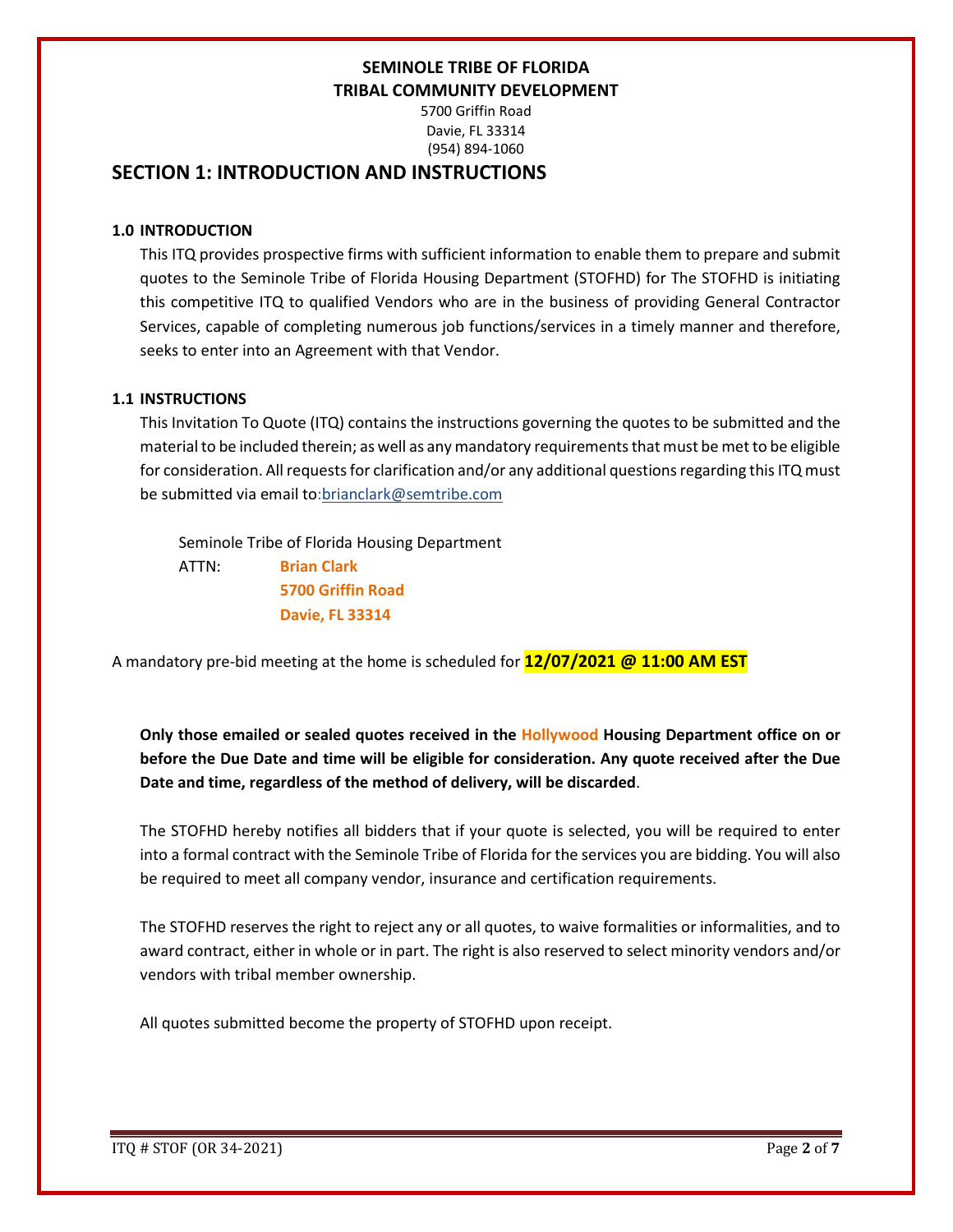5700 Griffin Road Davie, FL 33314 (954) 894-1060

## **SECTION 1: INTRODUCTION AND INSTRUCTIONS**

### **1.0 INTRODUCTION**

This ITQ provides prospective firms with sufficient information to enable them to prepare and submit quotes to the Seminole Tribe of Florida Housing Department (STOFHD) for The STOFHD is initiating this competitive ITQ to qualified Vendors who are in the business of providing General Contractor Services, capable of completing numerous job functions/services in a timely manner and therefore, seeks to enter into an Agreement with that Vendor.

### **1.1 INSTRUCTIONS**

This Invitation To Quote (ITQ) contains the instructions governing the quotes to be submitted and the material to be included therein; as well as any mandatory requirements that must be met to be eligible for consideration. All requests for clarification and/or any additional questions regarding this ITQ must be submitted via email to:brianclark@semtribe.com

 Seminole Tribe of Florida Housing Department ATTN: **Brian Clark 5700 Griffin Road Davie, FL 33314**

A mandatory pre-bid meeting at the home is scheduled for **12/07/2021 @ 11:00 AM EST**

**Only those emailed or sealed quotes received in the Hollywood Housing Department office on or before the Due Date and time will be eligible for consideration. Any quote received after the Due Date and time, regardless of the method of delivery, will be discarded**.

The STOFHD hereby notifies all bidders that if your quote is selected, you will be required to enter into a formal contract with the Seminole Tribe of Florida for the services you are bidding. You will also be required to meet all company vendor, insurance and certification requirements.

The STOFHD reserves the right to reject any or all quotes, to waive formalities or informalities, and to award contract, either in whole or in part. The right is also reserved to select minority vendors and/or vendors with tribal member ownership.

All quotes submitted become the property of STOFHD upon receipt.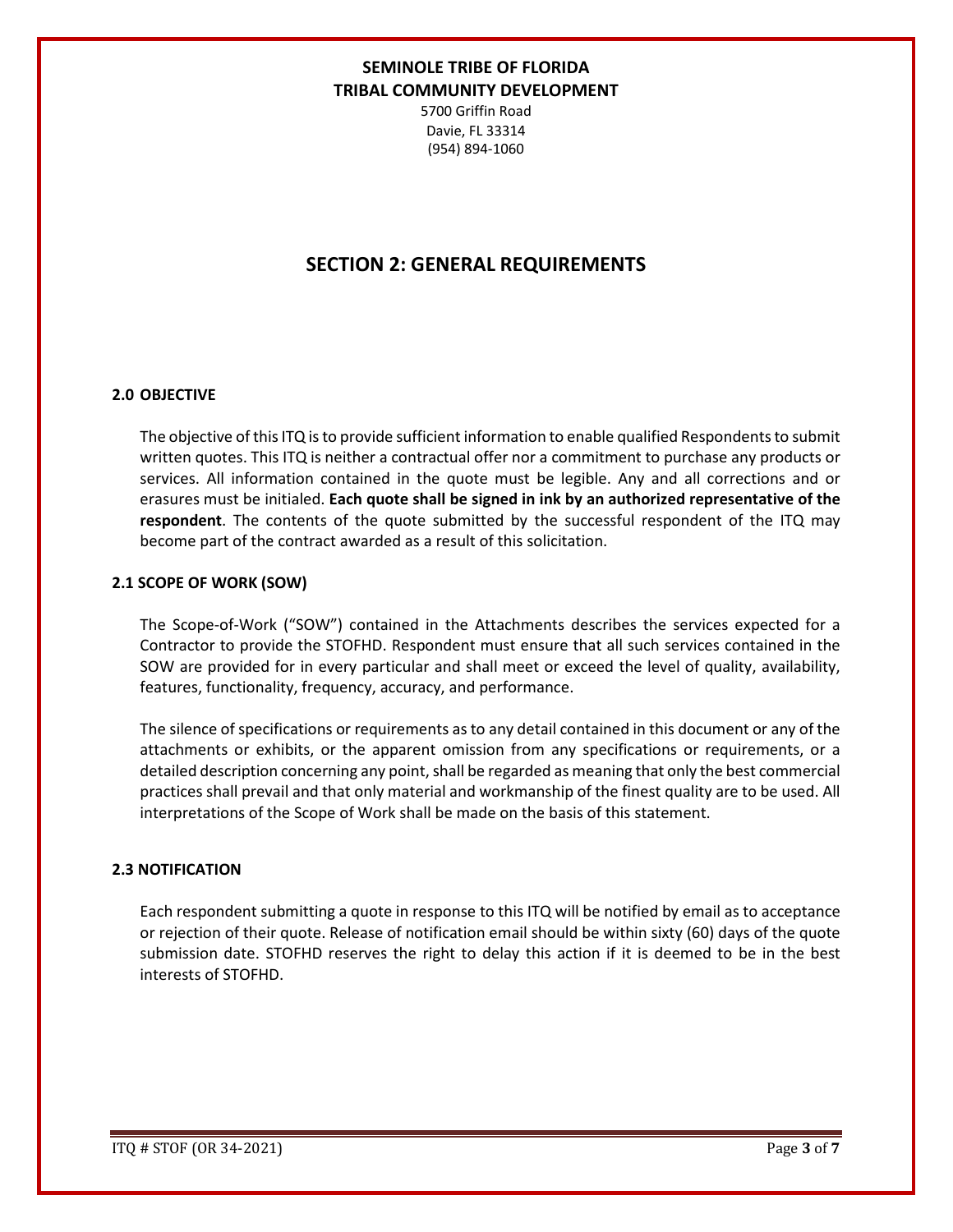5700 Griffin Road Davie, FL 33314 (954) 894-1060

## **SECTION 2: GENERAL REQUIREMENTS**

### **2.0 OBJECTIVE**

The objective of this ITQ is to provide sufficient information to enable qualified Respondents to submit written quotes. This ITQ is neither a contractual offer nor a commitment to purchase any products or services. All information contained in the quote must be legible. Any and all corrections and or erasures must be initialed. **Each quote shall be signed in ink by an authorized representative of the respondent**. The contents of the quote submitted by the successful respondent of the ITQ may become part of the contract awarded as a result of this solicitation.

### **2.1 SCOPE OF WORK (SOW)**

The Scope-of-Work ("SOW") contained in the Attachments describes the services expected for a Contractor to provide the STOFHD. Respondent must ensure that all such services contained in the SOW are provided for in every particular and shall meet or exceed the level of quality, availability, features, functionality, frequency, accuracy, and performance.

The silence of specifications or requirements as to any detail contained in this document or any of the attachments or exhibits, or the apparent omission from any specifications or requirements, or a detailed description concerning any point, shall be regarded as meaning that only the best commercial practices shall prevail and that only material and workmanship of the finest quality are to be used. All interpretations of the Scope of Work shall be made on the basis of this statement.

#### **2.3 NOTIFICATION**

Each respondent submitting a quote in response to this ITQ will be notified by email as to acceptance or rejection of their quote. Release of notification email should be within sixty (60) days of the quote submission date. STOFHD reserves the right to delay this action if it is deemed to be in the best interests of STOFHD.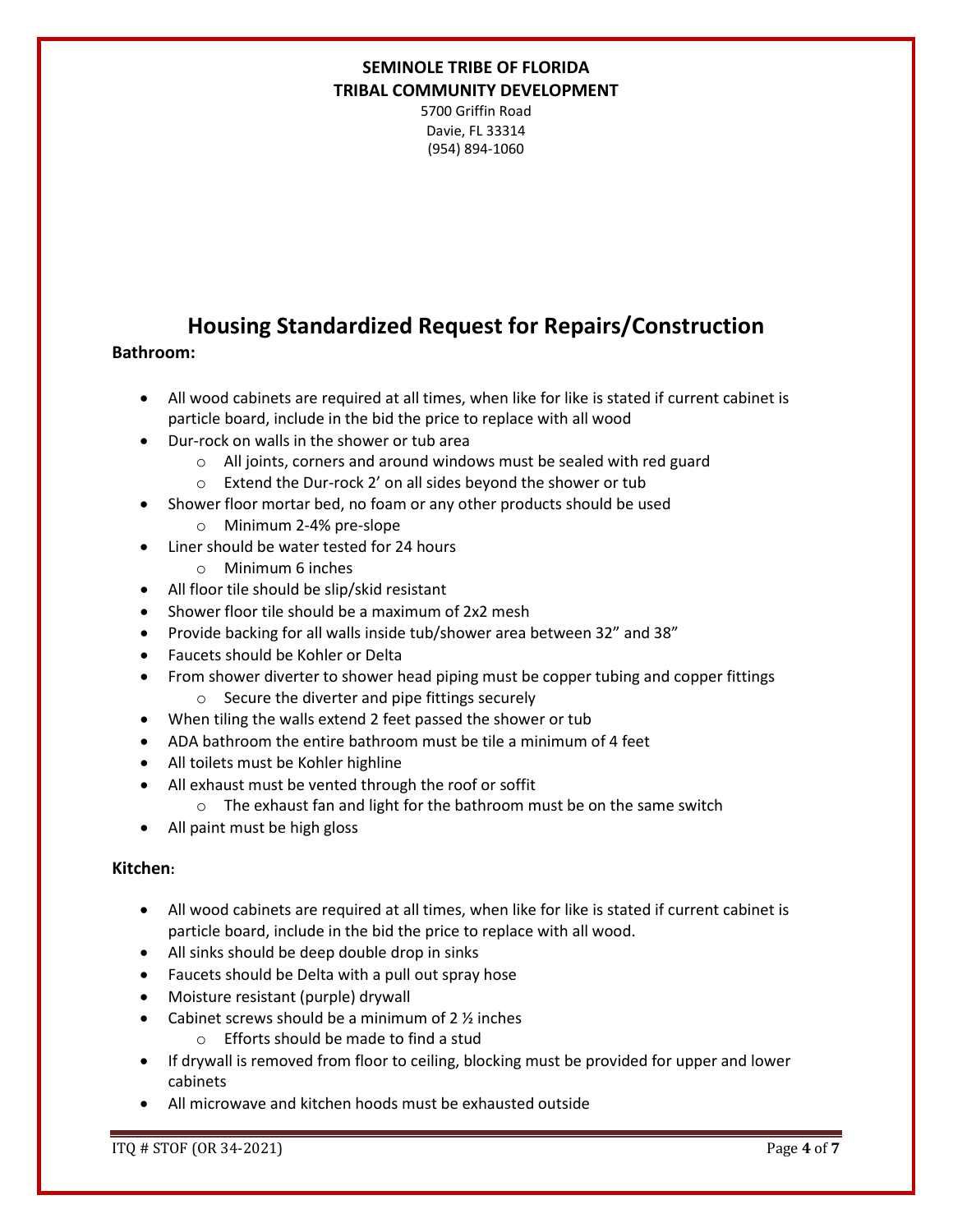5700 Griffin Road Davie, FL 33314 (954) 894-1060

## **Housing Standardized Request for Repairs/Construction**

### **Bathroom:**

- All wood cabinets are required at all times, when like for like is stated if current cabinet is particle board, include in the bid the price to replace with all wood
- Dur-rock on walls in the shower or tub area
	- o All joints, corners and around windows must be sealed with red guard
	- o Extend the Dur-rock 2' on all sides beyond the shower or tub
- Shower floor mortar bed, no foam or any other products should be used
	- o Minimum 2-4% pre-slope
- Liner should be water tested for 24 hours
	- o Minimum 6 inches
- All floor tile should be slip/skid resistant
- Shower floor tile should be a maximum of 2x2 mesh
- Provide backing for all walls inside tub/shower area between 32" and 38"
- Faucets should be Kohler or Delta
- From shower diverter to shower head piping must be copper tubing and copper fittings o Secure the diverter and pipe fittings securely
- When tiling the walls extend 2 feet passed the shower or tub
- ADA bathroom the entire bathroom must be tile a minimum of 4 feet
- All toilets must be Kohler highline
- All exhaust must be vented through the roof or soffit
	- o The exhaust fan and light for the bathroom must be on the same switch
- All paint must be high gloss

### **Kitchen:**

- All wood cabinets are required at all times, when like for like is stated if current cabinet is particle board, include in the bid the price to replace with all wood.
- All sinks should be deep double drop in sinks
- Faucets should be Delta with a pull out spray hose
- Moisture resistant (purple) drywall
- Cabinet screws should be a minimum of 2 ½ inches
	- o Efforts should be made to find a stud
- If drywall is removed from floor to ceiling, blocking must be provided for upper and lower cabinets
- All microwave and kitchen hoods must be exhausted outside

ITQ # STOF (OR 34-2021) Page **4** of **7**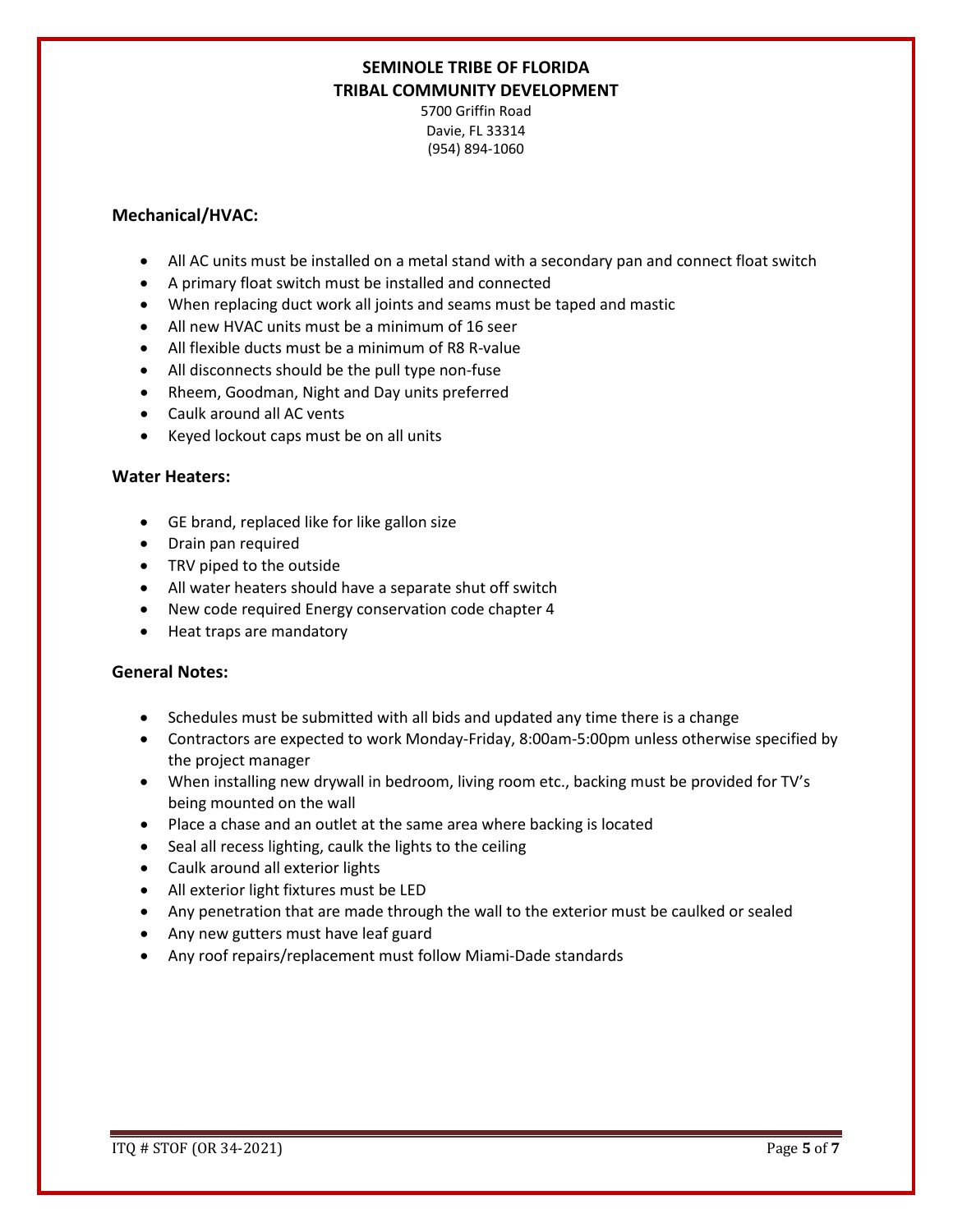5700 Griffin Road Davie, FL 33314 (954) 894-1060

### **Mechanical/HVAC:**

- All AC units must be installed on a metal stand with a secondary pan and connect float switch
- A primary float switch must be installed and connected
- When replacing duct work all joints and seams must be taped and mastic
- All new HVAC units must be a minimum of 16 seer
- All flexible ducts must be a minimum of R8 R-value
- All disconnects should be the pull type non-fuse
- Rheem, Goodman, Night and Day units preferred
- Caulk around all AC vents
- Keyed lockout caps must be on all units

#### **Water Heaters:**

- GE brand, replaced like for like gallon size
- Drain pan required
- TRV piped to the outside
- All water heaters should have a separate shut off switch
- New code required Energy conservation code chapter 4
- Heat traps are mandatory

### **General Notes:**

- Schedules must be submitted with all bids and updated any time there is a change
- Contractors are expected to work Monday-Friday, 8:00am-5:00pm unless otherwise specified by the project manager
- When installing new drywall in bedroom, living room etc., backing must be provided for TV's being mounted on the wall
- Place a chase and an outlet at the same area where backing is located
- Seal all recess lighting, caulk the lights to the ceiling
- Caulk around all exterior lights
- All exterior light fixtures must be LED
- Any penetration that are made through the wall to the exterior must be caulked or sealed
- Any new gutters must have leaf guard
- Any roof repairs/replacement must follow Miami-Dade standards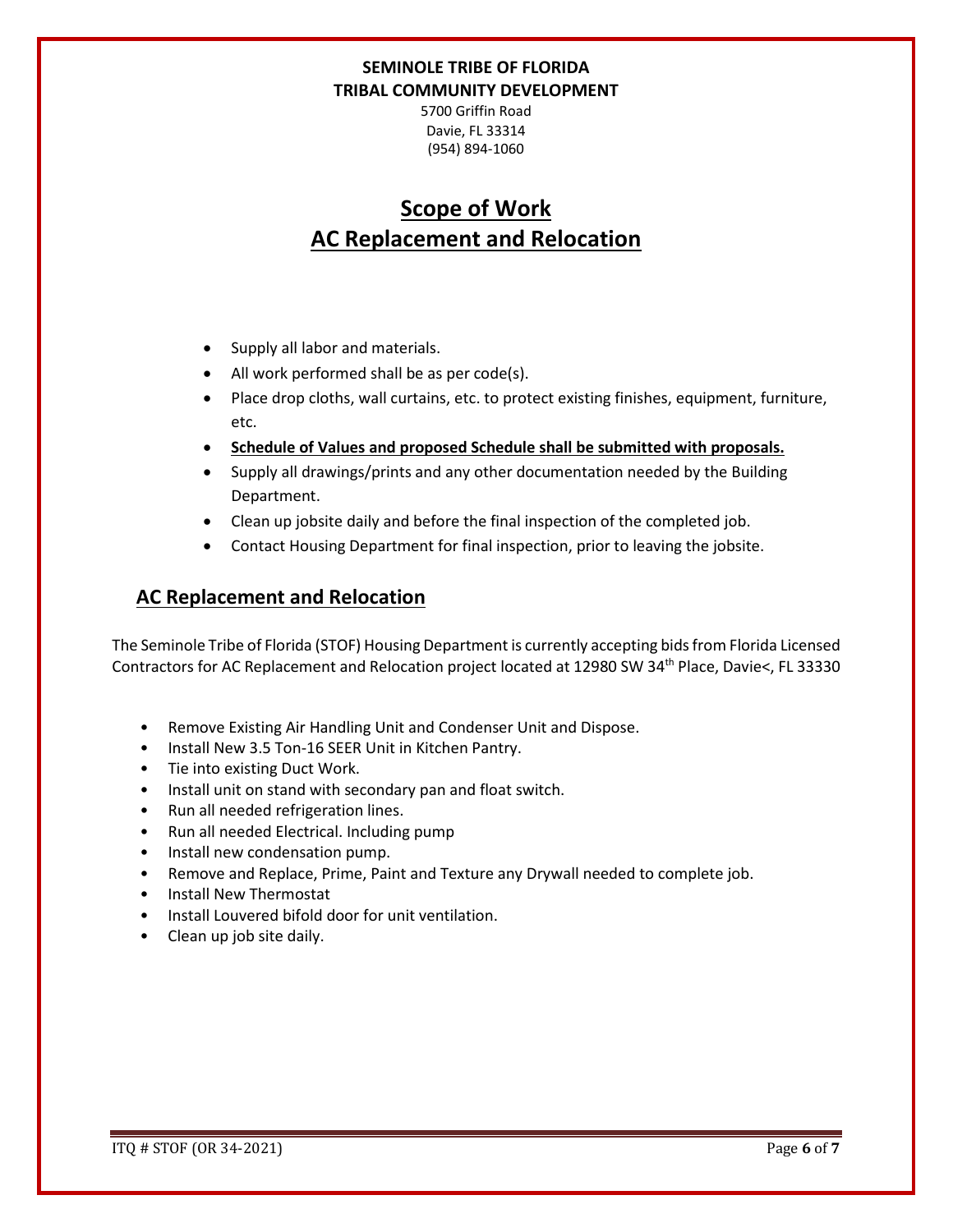5700 Griffin Road Davie, FL 33314 (954) 894-1060

# **Scope of Work AC Replacement and Relocation**

- Supply all labor and materials.
- All work performed shall be as per code(s).
- Place drop cloths, wall curtains, etc. to protect existing finishes, equipment, furniture, etc.
- **Schedule of Values and proposed Schedule shall be submitted with proposals.**
- Supply all drawings/prints and any other documentation needed by the Building Department.
- Clean up jobsite daily and before the final inspection of the completed job.
- Contact Housing Department for final inspection, prior to leaving the jobsite.

## **AC Replacement and Relocation**

The Seminole Tribe of Florida (STOF) Housing Department is currently accepting bids from Florida Licensed Contractors for AC Replacement and Relocation project located at 12980 SW 34<sup>th</sup> Place, Davie<, FL 33330

- Remove Existing Air Handling Unit and Condenser Unit and Dispose.
- Install New 3.5 Ton-16 SEER Unit in Kitchen Pantry.
- Tie into existing Duct Work.
- Install unit on stand with secondary pan and float switch.
- Run all needed refrigeration lines.
- Run all needed Electrical. Including pump
- Install new condensation pump.
- Remove and Replace, Prime, Paint and Texture any Drywall needed to complete job.
- Install New Thermostat
- Install Louvered bifold door for unit ventilation.
- Clean up job site daily.